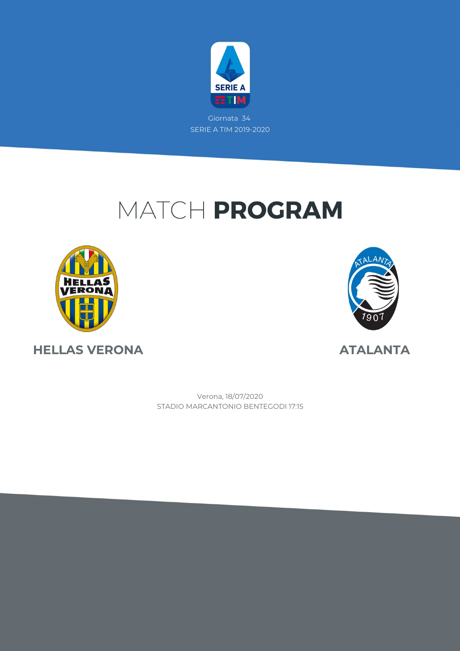

# MATCH PROGRAM





**HELLAS VERONA ATALANTA**

STADIO MARCANTONIO BENTEGODI 17:15 Verona, 18/07/2020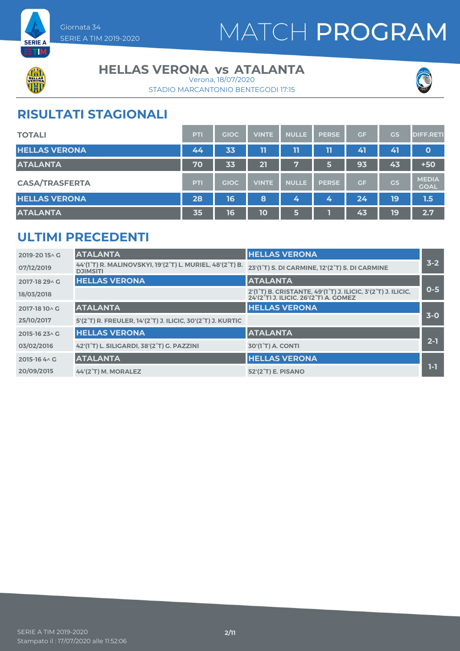

# MATCH PROGRAM



#### **HELLAS VERONA vs ATALANTA**

STADIO MARCANTONIO BENTEGODI 17:15 Verona, 18/07/2020



### **RISULTATI STAGIONALI**

| <b>TOTALI</b>         | PTI        | <b>GIOC</b> | <b>VINTE</b> | <b>NULLE</b> | <b>PERSE</b> | <b>GF</b> | GS        | <b>DIFF.RETI</b>            |
|-----------------------|------------|-------------|--------------|--------------|--------------|-----------|-----------|-----------------------------|
| <b>HELLAS VERONA</b>  | 44         | 33          | 11           | 11           | 11           | 41        | 41        | $\mathbf{o}$                |
| <b>ATALANTA</b>       | 70         | 33          | 21           | 7            | 5            | 93        | 43        | $+50$                       |
| <b>CASA/TRASFERTA</b> | <b>PTI</b> | <b>GIOC</b> | <b>VINTE</b> | <b>NULLE</b> | <b>PERSE</b> | GF        | <b>GS</b> | <b>MEDIA</b><br><b>GOAL</b> |
| <b>HELLAS VERONA</b>  | 28         | 16          | 8            | 4            | 4            | 24        | 19        | 1.5                         |
| <b>ATALANTA</b>       | 35         | 16          | 10           | 6            |              | 43        | 19        | 2.7                         |

### **ULTIMI PRECEDENTI**

| 2019-2015^G    | <b>ATALANTA</b>                                                             | <b>HELLAS VERONA</b>                                                                                                                                                   |         |
|----------------|-----------------------------------------------------------------------------|------------------------------------------------------------------------------------------------------------------------------------------------------------------------|---------|
| 07/12/2019     | 44'(1°T) R. MALINOVSKYI, 19'(2°T) L. MURIEL, 48'(2°T) B.<br><b>DJIMSITI</b> | 23'(1°T) S. DI CARMINE, 12'(2°T) S. DI CARMINE                                                                                                                         | $3 - 2$ |
| 2017-18 29 \ G | <b>HELLAS VERONA</b>                                                        | <b>ATALANTA</b>                                                                                                                                                        |         |
| 18/03/2018     |                                                                             | 2'(1 <sup>°</sup> T) B. CRISTANTE, 49'(1 <sup>°</sup> T) J. ILICIC, 3'(2 <sup>°</sup> T) J. ILICIC,<br>24'(2 <sup>°</sup> T) J. ILICIC. 26'(2 <sup>°</sup> T) A. GOMEZ | $0 - 5$ |
| 2017-18 10 \ G | <b>ATALANTA</b>                                                             | <b>HELLAS VERONA</b>                                                                                                                                                   |         |
| 25/10/2017     | 5'(2°T) R. FREULER, 14'(2°T) J. ILICIC, 30'(2°T) J. KURTIC                  |                                                                                                                                                                        | $3-0$   |
| 2015-16 23 \ G | <b>HELLAS VERONA</b>                                                        | <b>ATALANTA</b>                                                                                                                                                        |         |
| 03/02/2016     | 42'(1°T) L. SILIGARDI, 38'(2°T) G. PAZZINI                                  | <b>30'(1°T) A. CONTI</b>                                                                                                                                               | $2 - 1$ |
| 2015-16 4 \ G  | <b>ATALANTA</b>                                                             | <b>HELLAS VERONA</b>                                                                                                                                                   |         |
| 20/09/2015     | 44'(2°T) M. MORALEZ                                                         | 52'(2 <sup>°</sup> T) E. PISANO                                                                                                                                        | 1-1     |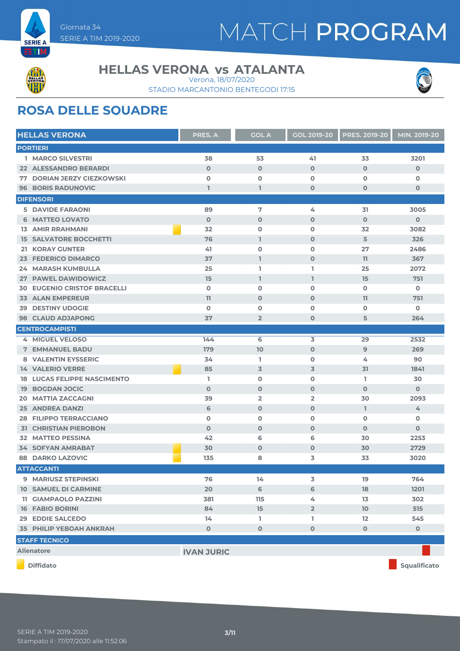



#### **HELLAS VERONA vs ATALANTA**

STADIO MARCANTONIO BENTEGODI 17:15 Verona, 18/07/2020



### **ROSA DELLE SQUADRE**

| <b>HELLAS VERONA</b>               | <b>PRES. A</b>    | <b>GOL A</b>   | <b>GOL 2019-20</b> | <b>PRES. 2019-20</b> | MIN. 2019-20   |
|------------------------------------|-------------------|----------------|--------------------|----------------------|----------------|
| <b>PORTIERI</b>                    |                   |                |                    |                      |                |
| 1 MARCO SILVESTRI                  | 38                | 53             | 41                 | 33                   | 3201           |
| <b>22 ALESSANDRO BERARDI</b>       | $\mathbf{O}$      | $\mathbf 0$    | $\mathbf 0$        | $\mathbf 0$          | $\mathbf{O}$   |
| <b>77 DORIAN JERZY CIEZKOWSKI</b>  | $\mathbf 0$       | $\mathbf 0$    | $\mathbf 0$        | $\mathbf 0$          | $\mathbf 0$    |
| <b>96 BORIS RADUNOVIC</b>          | $\mathbf{1}$      | $\mathbf{I}$   | $\mathbf 0$        | $\mathbf 0$          | $\mathbf 0$    |
| <b>DIFENSORI</b>                   |                   |                |                    |                      |                |
| <b>5 DAVIDE FARAONI</b>            | 89                | 7              | 4                  | 31                   | 3005           |
| <b>6 MATTEO LOVATO</b>             | $\mathbf{O}$      | $\mathbf 0$    | $\mathbf 0$        | $\Omega$             | $\overline{O}$ |
| <b>13 AMIR RRAHMANI</b>            | 32                | $\mathbf 0$    | $\mathbf 0$        | 32                   | 3082           |
| <b>15 SALVATORE BOCCHETTI</b>      | 76                | L.             | $\mathbf 0$        | 5                    | 326            |
| <b>21 KORAY GUNTER</b>             | 41                | $\mathbf 0$    | $\mathbf{o}$       | 27                   | 2486           |
| 23 FEDERICO DIMARCO                | 37                | ı              | $\mathbf 0$        | 11                   | 367            |
| <b>24 MARASH KUMBULLA</b>          | 25                | L              | L                  | 25                   | 2072           |
| 27 PAWEL DAWIDOWICZ                | 15                | $\mathbf{I}$   | $\mathbf{I}$       | 15                   | 751            |
| <b>30 EUGENIO CRISTOF BRACELLI</b> | $\mathbf 0$       | $\mathbf 0$    | $\mathbf 0$        | $\mathbf 0$          | $\mathbf 0$    |
| <b>33 ALAN EMPEREUR</b>            | 11                | $\mathbf 0$    | $\mathbf 0$        | 11                   | 751            |
| <b>DESTINY UDOGIE</b><br>39        | $\mathbf 0$       | $\mathbf 0$    | $\mathbf{o}$       | $\mathbf 0$          | O              |
| <b>98 CLAUD ADJAPONG</b>           | 37                | $\overline{2}$ | $\mathbf 0$        | 5                    | 264            |
| <b>CENTROCAMPISTI</b>              |                   |                |                    |                      |                |
| 4 MIGUEL VELOSO                    | 144               | 6              | 3                  | 29                   | 2532           |
| <b>7 EMMANUEL BADU</b>             | 179               | 10             | $\mathbf 0$        | 9                    | 269            |
| <b>8 VALENTIN EYSSERIC</b>         | 34                | L.             | $\mathbf 0$        | 4                    | 90             |
| <b>14 VALERIO VERRE</b>            | 85                | $\overline{3}$ | 3                  | 31                   | 1841           |
| <b>18 LUCAS FELIPPE NASCIMENTO</b> | I.                | $\mathbf 0$    | $\mathbf{o}$       | ı.                   | 30             |
| <b>19 BOGDAN JOCIC</b>             | $\mathbf 0$       | $\mathbf 0$    | $\mathbf 0$        | $\mathbf 0$          | $\mathbf 0$    |
| <b>MATTIA ZACCAGNI</b><br>20.      | 39                | $\overline{2}$ | $\overline{2}$     | 30                   | 2093           |
| <b>25 ANDREA DANZI</b>             | 6                 | $\mathbf 0$    | $\mathbf 0$        | L.                   | 4              |
| <b>28 FILIPPO TERRACCIANO</b>      | $\mathbf 0$       | $\mathbf 0$    | $\mathbf 0$        | $\mathbf 0$          | $\mathbf 0$    |
| <b>31 CHRISTIAN PIEROBON</b>       | $\mathbf 0$       | $\mathbf 0$    | $\mathbf 0$        | $\mathbf 0$          | $\mathbf{O}$   |
| 32 MATTEO PESSINA                  | 42                | 6              | 6                  | 30                   | 2253           |
| <b>34 SOFYAN AMRABAT</b>           | 30                | $\mathbf 0$    | $\mathbf 0$        | 30                   | 2729           |
| <b>88 DARKO LAZOVIC</b>            | 135               | 8              | 3                  | 33                   | 3020           |
| <b>ATTACCANTI</b>                  |                   |                |                    |                      |                |
| 9 MARIUSZ STEPINSKI                | 76                | 14             | 3                  | 19                   | 764            |
| <b>10 SAMUEL DI CARMINE</b>        | 20                | 6              | 6                  | 18                   | 1201           |
| <b>11 GIAMPAOLO PAZZINI</b>        | 381               | 115            | 4                  | 13                   | 302            |
| <b>16 FABIO BORINI</b>             | 84                | 15             | $\overline{2}$     | 10 <sup>°</sup>      | 515            |
| 29 EDDIE SALCEDO                   | 14                | L              | L                  | $12 \overline{ }$    | 545            |
| <b>35 PHILIP YEBOAH ANKRAH</b>     | $\mathbf 0$       | $\mathbf 0$    | $\mathbf 0$        | $\mathbf 0$          | $\mathbf 0$    |
| <b>STAFF TECNICO</b>               |                   |                |                    |                      |                |
| <b>Allenatore</b>                  | <b>IVAN JURIC</b> |                |                    |                      |                |
| <b>Diffidato</b>                   |                   |                |                    |                      | Squalificato   |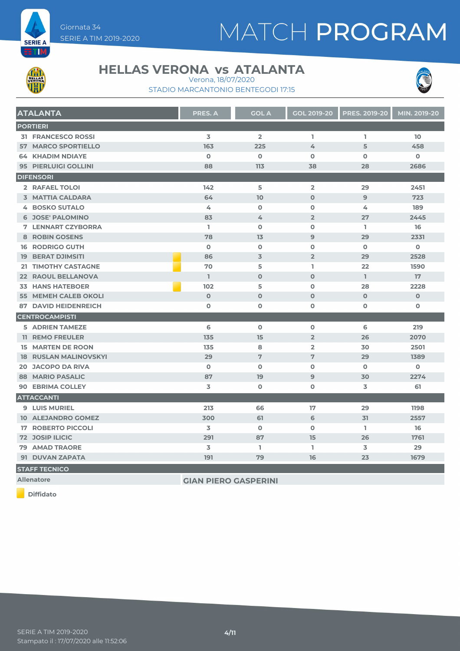



#### **HELLAS VERONA vs ATALANTA**

STADIO MARCANTONIO BENTEGODI 17:15 Verona, 18/07/2020



| <b>ATALANTA</b>              | PRES. A        | <b>GOL A</b>   | <b>GOL 2019-20</b> | <b>PRES. 2019-20</b> | MIN. 2019-20 |
|------------------------------|----------------|----------------|--------------------|----------------------|--------------|
| <b>PORTIERI</b>              |                |                |                    |                      |              |
| <b>31 FRANCESCO ROSSI</b>    | $\overline{3}$ | $\overline{2}$ | L                  | L.                   | 10           |
| <b>57 MARCO SPORTIELLO</b>   | 163            | 225            | 4                  | 5                    | 458          |
| <b>64 KHADIM NDIAYE</b>      | $\Omega$       | $\mathbf 0$    | $\Omega$           | $\Omega$             | $\mathbf 0$  |
| 95 PIERLUIGI GOLLINI         | 88             | 113            | 38                 | 28                   | 2686         |
| <b>DIFENSORI</b>             |                |                |                    |                      |              |
| 2 RAFAEL TOLOI               | 142            | 5              | $\overline{2}$     | 29                   | 2451         |
| <b>3 MATTIA CALDARA</b>      | 64             | 10             | $\Omega$           | 9                    | 723          |
| <b>4 BOSKO SUTALO</b>        | 4              | $\mathbf 0$    | $\mathbf 0$        | 4                    | 189          |
| <b>6 JOSE' PALOMINO</b>      | 83             | 4              | $\overline{2}$     | 27                   | 2445         |
| <b>7 LENNART CZYBORRA</b>    | L              | $\mathbf 0$    | $\Omega$           | L.                   | 16           |
| 8 ROBIN GOSENS               | 78             | 13             | 9                  | 29                   | 2331         |
| <b>16 RODRIGO GUTH</b>       | $\mathbf 0$    | $\mathbf 0$    | $\mathbf 0$        | $\mathbf 0$          | $\mathbf 0$  |
| <b>19 BERAT DJIMSITI</b>     | 86             | 3              | $\overline{2}$     | 29                   | 2528         |
| 21 TIMOTHY CASTAGNE          | 70             | 5              | L.                 | 22                   | 1590         |
| 22 RAOUL BELLANOVA           | $\mathbf{I}$   | $\Omega$       | $\Omega$           | L.                   | 17           |
| <b>33 HANS HATEBOER</b>      | 102            | 5              | $\Omega$           | 28                   | 2228         |
| <b>55 MEMEH CALEB OKOLI</b>  | $\mathbf 0$    | $\mathbf 0$    | $\mathbf 0$        | $\mathbf 0$          | $\mathbf 0$  |
| <b>87 DAVID HEIDENREICH</b>  | $\mathbf 0$    | $\mathbf o$    | $\mathbf 0$        | $\mathbf 0$          | $\mathbf 0$  |
| <b>CENTROCAMPISTI</b>        |                |                |                    |                      |              |
| <b>5 ADRIEN TAMEZE</b>       | 6              | $\mathbf o$    | $\mathbf 0$        | 6                    | 219          |
| <b>11 REMO FREULER</b>       | 135            | 15             | $\overline{2}$     | 26                   | 2070         |
| <b>15 MARTEN DE ROON</b>     | 135            | 8              | $\overline{2}$     | 30                   | 2501         |
| <b>18 RUSLAN MALINOVSKYI</b> | 29             | 7              | 7                  | 29                   | 1389         |
| <b>20 JACOPO DA RIVA</b>     | $\mathbf 0$    | $\mathbf o$    | $\mathbf 0$        | $\mathbf 0$          | $\mathbf 0$  |
| <b>88 MARIO PASALIC</b>      | 87             | 19             | 9                  | 30                   | 2274         |
| <b>90 EBRIMA COLLEY</b>      | 3              | $\mathbf 0$    | O                  | 3                    | 61           |
| <b>ATTACCANTI</b>            |                |                |                    |                      |              |
| <b>9 LUIS MURIEL</b>         | 213            | 66             | 17                 | 29                   | 1198         |
| <b>10 ALEJANDRO GOMEZ</b>    | 300            | 61             | 6                  | 31                   | 2557         |
| <b>17 ROBERTO PICCOLI</b>    | 3              | $\mathbf 0$    | $\Omega$           | L.                   | 16           |
| <b>72 JOSIP ILICIC</b>       | 291            | 87             | 15                 | 26                   | 1761         |
| <b>79 AMAD TRAORE</b>        | 3              | L              | L                  | 3                    | 29           |
| 91 DUVAN ZAPATA              | 191            | 79             | 16                 | 23                   | 1679         |

**STAFF TECNICO**

**Allenatore GIAN PIERO GASPERINI**

**Diffidato**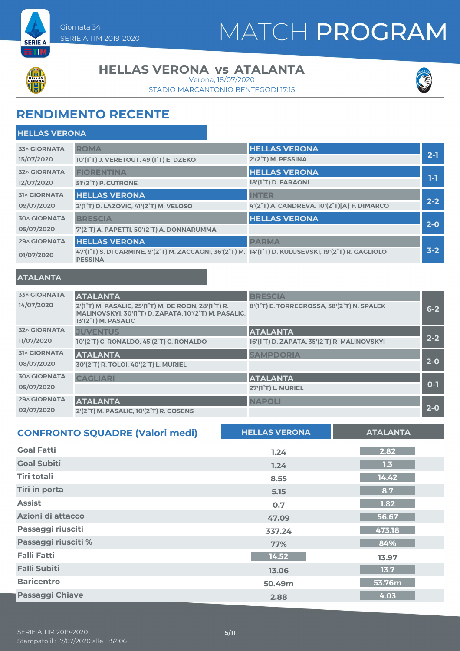

# MATCH PROGRAM



#### **HELLAS VERONA vs ATALANTA**

STADIO MARCANTONIO BENTEGODI 17:15 Verona, 18/07/2020



### **RENDIMENTO RECENTE**

| <b>HELLAS VERONA</b> |                                                                                                                         |                                             |         |
|----------------------|-------------------------------------------------------------------------------------------------------------------------|---------------------------------------------|---------|
| <b>33^ GIORNATA</b>  | <b>ROMA</b>                                                                                                             | <b>HELLAS VERONA</b>                        |         |
| 15/07/2020           | 10'(1°T) J. VERETOUT, 49'(1°T) E. DZEKO                                                                                 | 2'(2°T) M. PESSINA                          | $2 - 1$ |
| <b>32^ GIORNATA</b>  | <b>FIORENTINA</b>                                                                                                       | <b>HELLAS VERONA</b>                        |         |
| 12/07/2020           | 51'(2°T) P. CUTRONE                                                                                                     | 18'(1°T) D. FARAONI                         | 1-1     |
| <b>31^ GIORNATA</b>  | <b>HELLAS VERONA</b>                                                                                                    | <b>INTER</b>                                |         |
| 09/07/2020           | 2'(1 <sup>°</sup> T) D. LAZOVIC, 41'(2 <sup>°</sup> T) M. VELOSO                                                        | 4'(2°T) A. CANDREVA, 10'(2°T)[A] F. DIMARCO | $2 - 2$ |
| <b>30^ GIORNATA</b>  | <b>BRESCIA</b>                                                                                                          | <b>HELLAS VERONA</b>                        |         |
| 05/07/2020           | 7'(2°T) A. PAPETTI, 50'(2°T) A. DONNARUMMA                                                                              |                                             | $2 - 0$ |
| <b>29^ GIORNATA</b>  | <b>HELLAS VERONA</b>                                                                                                    | <b>PARMA</b>                                |         |
| 01/07/2020           | 47'(1°T) S. DI CARMINE, 9'(2°T) M. ZACCAGNI, 36'(2°T) M. 14'(1°T) D. KULUSEVSKI, 19'(2°T) R. GAGLIOLO<br><b>PESSINA</b> |                                             | $3 - 2$ |

#### **ATALANTA**

| <b>33^ GIORNATA</b><br>14/07/2020 | <b>ATALANTA</b><br>2'(1 <sup>°</sup> T) M. PASALIC, 25'(1 <sup>°</sup> T) M. DE ROON, 28'(1 <sup>°</sup> T) R.<br>MALINOVSKYI, 30'(1°T) D. ZAPATA, 10'(2°T) M. PASALIC,<br>13'(2°T) M. PASALIC | <b>BRESCIA</b><br>8'(1°T) E. TORREGROSSA, 38'(2°T) N. SPALEK   | $6 - 2$ |
|-----------------------------------|------------------------------------------------------------------------------------------------------------------------------------------------------------------------------------------------|----------------------------------------------------------------|---------|
| <b>32^ GIORNATA</b><br>11/07/2020 | <b>JUVENTUS</b><br>10'(2°T) C. RONALDO, 45'(2°T) C. RONALDO                                                                                                                                    | <b>ATALANTA</b><br>16'(1°T) D. ZAPATA, 35'(2°T) R. MALINOVSKYI | $2 - 2$ |
| <b>31^ GIORNATA</b><br>08/07/2020 | <b>ATALANTA</b><br>30'(2°T) R. TOLOI, 40'(2°T) L. MURIEL                                                                                                                                       | <b>SAMPDORIA</b>                                               | $2 - 0$ |
| <b>30^ GIORNATA</b><br>05/07/2020 | <b>CAGLIARI</b>                                                                                                                                                                                | <b>ATALANTA</b><br>27'(1°T) L. MURIEL                          | $O-1$   |
| <b>29^ GIORNATA</b><br>02/07/2020 | <b>ATALANTA</b><br>2'(2°T) M. PASALIC, 10'(2°T) R. GOSENS                                                                                                                                      | <b>NAPOLI</b>                                                  | $2 - 0$ |

| <b>CONFRONTO SQUADRE (Valori medi)</b> | <b>HELLAS VERONA</b> | <b>ATALANTA</b> |
|----------------------------------------|----------------------|-----------------|
| <b>Goal Fatti</b>                      | 1.24                 | 2.82            |
| <b>Goal Subiti</b>                     | 1.24                 | 1.3             |
| <b>Tiri totali</b>                     | 8.55                 | 14.42           |
| <b>Tiri in porta</b>                   | 5.15                 | 8.7             |
| <b>Assist</b>                          | 0.7                  | 1.82            |
| Azioni di attacco                      | 47.09                | 56.67           |
| Passaggi riusciti                      | 337.24               | 473.18          |
| Passaggi riusciti %                    | 77%                  | 84%             |
| <b>Falli Fatti</b>                     | 14.52                | 13.97           |
| <b>Falli Subiti</b>                    | 13.06                | 13.7            |
| <b>Baricentro</b>                      | 50.49m               | 53.76m          |
| <b>Passaggi Chiave</b>                 | 2.88                 | 4.03            |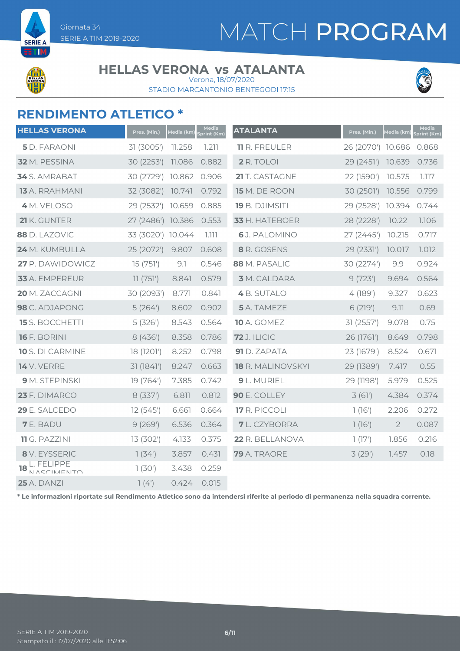

**SEDIE** 

#### **HELLAS VERONA vs ATALANTA**

STADIO MARCANTONIO BENTEGODI 17:15 Verona, 18/07/2020



### **RENDIMENTO ATLETICO \***

| <b>HELLAS VERONA</b>           | Pres. (Min.)      | Media (km) | Media<br>Sprint (Km) | <b>ATALANTA</b>      | Pres. (Min.)      | Media (km)     | Media<br>Sprint (Km) |
|--------------------------------|-------------------|------------|----------------------|----------------------|-------------------|----------------|----------------------|
| 5 D. FARAONI                   | 31 (3005')        | 11.258     | 1.211                | <b>11 R. FREULER</b> | 26 (2070') 10.686 |                | 0.868                |
| 32 M. PESSINA                  | 30 (2253')        | 11.086     | 0.882                | 2 R. TOLOI           | 29 (2451')        | 10.639         | 0.736                |
| 34 S. AMRABAT                  | 30 (2729')        | 10.862     | 0.906                | 21 T. CASTAGNE       | 22 (1590')        | 10.575         | 1.117                |
| 13 A. RRAHMANI                 | 32 (3082')        | 10.741     | 0.792                | 15 M. DE ROON        | 30 (2501)         | 10.556         | 0.799                |
| 4 M. VELOSO                    | 29 (2532')        | 10.659     | 0.885                | 19 B. DJIMSITI       | 29 (2528')        | 10.394         | 0.744                |
| 21 K. GUNTER                   | 27 (2486')        | 10.386     | 0.553                | 33 H. HATEBOER       | 28 (2228')        | 10.22          | 1.106                |
| 88 D. LAZOVIC                  | 33 (3020') 10.044 |            | 7.777                | 6J. PALOMINO         | 27 (2445')        | 10.215         | 0.717                |
| 24 M. KUMBULLA                 | 25 (2072')        | 9.807      | 0.608                | 8 R. GOSENS          | 29 (2331')        | 10.017         | 1.012                |
| 27 P. DAWIDOWICZ               | 15(751)           | 9.1        | 0.546                | 88 M. PASALIC        | 30 (2274')        | 9.9            | 0.924                |
| 33 A. EMPEREUR                 | 11(751)           | 8.841      | 0.579                | <b>3</b> M. CALDARA  | 9(723)            | 9.694          | 0.564                |
| 20 M. ZACCAGNI                 | 30 (2093')        | 8.771      | 0.841                | 4 B. SUTALO          | 4(189)            | 9.327          | 0.623                |
| 98 C. ADJAPONG                 | 5(264)            | 8.602      | 0.902                | 5 A. TAMEZE          | 6(219')           | 9.11           | 0.69                 |
| <b>15</b> S. BOCCHETTI         | 5(326)            | 8.543      | 0.564                | <b>10</b> A. GOMEZ   | 31 (2557')        | 9.078          | 0.75                 |
| <b>16</b> F. BORINI            | 8(436)            | 8.358      | 0.786                | <b>72</b> J. ILICIC  | 26 (1761')        | 8.649          | 0.798                |
| 10 S. DI CARMINE               | 18 (1201')        | 8.252      | 0.798                | 91 D. ZAPATA         | 23 (1679')        | 8.524          | 0.671                |
| <b>14</b> V. VERRE             | 31(1841)          | 8.247      | 0.663                | 18 R. MALINOVSKYI    | 29 (1389')        | 7.417          | 0.55                 |
| 9 M. STEPINSKI                 | 19 (764')         | 7.385      | 0.742                | 9 L. MURIEL          | 29 (1198')        | 5.979          | 0.525                |
| 23 F. DIMARCO                  | 8(337)            | 6.811      | 0.812                | 90 E. COLLEY         | 3(61)             | 4.384          | 0.374                |
| 29 E. SALCEDO                  | 12(545)           | 6.661      | 0.664                | 17 R. PICCOLI        | 1(16')            | 2.206          | 0.272                |
| <b>7</b> E. BADU               | 9(269')           | 6.536      | 0.364                | <b>7</b> L. CZYBORRA | 1(16')            | $\overline{2}$ | 0.087                |
| 11 G. PAZZINI                  | 13 (302')         | 4.133      | 0.375                | 22 R. BELLANOVA      | 1(17)             | 1.856          | 0.216                |
| 8 V. EYSSERIC                  | 7(34)             | 3.857      | 0.431                | 79 A. TRAORE         | 3(29)             | 1.457          | 0.18                 |
| L. FELIPPE<br>18<br>NACCIMENTO | 1(30')            | 3.438      | 0.259                |                      |                   |                |                      |
| <b>25</b> A. DANZI             | 7(4)              | 0.424      | 0.015                |                      |                   |                |                      |

**\* Le informazioni riportate sul Rendimento Atletico sono da intendersi riferite al periodo di permanenza nella squadra corrente.**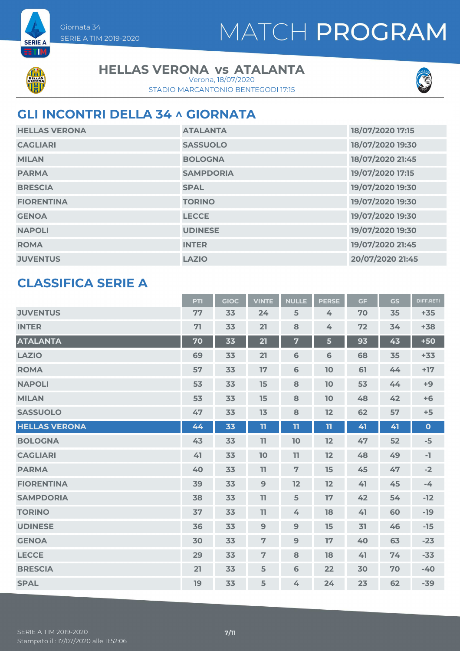



**SERIE A** z mi

#### **HELLAS VERONA vs ATALANTA**

STADIO MARCANTONIO BENTEGODI 17:15 Verona, 18/07/2020



### **GLI INCONTRI DELLA 34 ^ GIORNATA**

| <b>HELLAS VERONA</b> | <b>ATALANTA</b>  | 18/07/2020 17:15 |
|----------------------|------------------|------------------|
| <b>CAGLIARI</b>      | <b>SASSUOLO</b>  | 18/07/2020 19:30 |
| <b>MILAN</b>         | <b>BOLOGNA</b>   | 18/07/2020 21:45 |
| <b>PARMA</b>         | <b>SAMPDORIA</b> | 19/07/2020 17:15 |
| <b>BRESCIA</b>       | <b>SPAL</b>      | 19/07/2020 19:30 |
| <b>FIORENTINA</b>    | <b>TORINO</b>    | 19/07/2020 19:30 |
| <b>GENOA</b>         | <b>LECCE</b>     | 19/07/2020 19:30 |
| <b>NAPOLI</b>        | <b>UDINESE</b>   | 19/07/2020 19:30 |
| <b>ROMA</b>          | <b>INTER</b>     | 19/07/2020 21:45 |
| <b>JUVENTUS</b>      | <b>LAZIO</b>     | 20/07/2020 21:45 |

### **CLASSIFICA SERIE A**

|                      | PTI | <b>GIOC</b> | <b>VINTE</b>   | <b>NULLE</b>    | <b>PERSE</b> | <b>GF</b> | GS | <b>DIFF.RETI</b> |
|----------------------|-----|-------------|----------------|-----------------|--------------|-----------|----|------------------|
| <b>JUVENTUS</b>      | 77  | 33          | 24             | 5               | 4            | 70        | 35 | $+35$            |
| <b>INTER</b>         | 71  | 33          | 21             | 8               | 4            | 72        | 34 | $+38$            |
| <b>ATALANTA</b>      | 70  | 33          | 21             | $\overline{7}$  | 5            | 93        | 43 | $+50$            |
| <b>LAZIO</b>         | 69  | 33          | 21             | $\mathbf 6$     | 6            | 68        | 35 | $+33$            |
| <b>ROMA</b>          | 57  | 33          | 17             | $6\phantom{1}6$ | 10           | 61        | 44 | $+17$            |
| <b>NAPOLI</b>        | 53  | 33          | 15             | 8               | 10           | 53        | 44 | $+9$             |
| <b>MILAN</b>         | 53  | 33          | 15             | 8               | 10           | 48        | 42 | $+6$             |
| <b>SASSUOLO</b>      | 47  | 33          | 13             | 8               | 12           | 62        | 57 | $+5$             |
| <b>HELLAS VERONA</b> | 44  | 33          | 11             | 11              | 11           | 41        | 41 | $\mathbf 0$      |
| <b>BOLOGNA</b>       | 43  | 33          | 11             | 10              | 12           | 47        | 52 | $-5$             |
| <b>CAGLIARI</b>      | 41  | 33          | 10             | 11              | 12           | 48        | 49 | $-1$             |
| <b>PARMA</b>         | 40  | 33          | 11             | $\overline{7}$  | 15           | 45        | 47 | $-2$             |
| <b>FIORENTINA</b>    | 39  | 33          | 9              | 12              | 12           | 41        | 45 | $-4$             |
| <b>SAMPDORIA</b>     | 38  | 33          | 11             | 5               | 17           | 42        | 54 | $-12$            |
| <b>TORINO</b>        | 37  | 33          | 11             | 4               | 18           | 41        | 60 | $-19$            |
| <b>UDINESE</b>       | 36  | 33          | $\overline{9}$ | 9               | 15           | 31        | 46 | $-15$            |
| <b>GENOA</b>         | 30  | 33          | $\overline{7}$ | 9               | 17           | 40        | 63 | $-23$            |
| <b>LECCE</b>         | 29  | 33          | 7              | 8               | 18           | 41        | 74 | $-33$            |
| <b>BRESCIA</b>       | 21  | 33          | 5              | $\mathbf 6$     | 22           | 30        | 70 | $-40$            |
| <b>SPAL</b>          | 19  | 33          | 5              | 4               | 24           | 23        | 62 | $-39$            |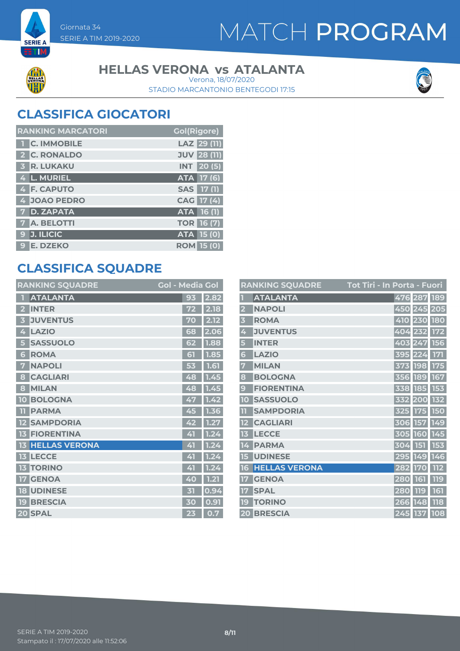



**SERIE A** ETIM

#### **HELLAS VERONA vs ATALANTA**

STADIO MARCANTONIO BENTEGODI 17:15 Verona, 18/07/2020



### **CLASSIFICA GIOCATORI**

| <b>RANKING MARCATORI</b> | <b>Gol(Rigore)</b> |
|--------------------------|--------------------|
| <b>C. IMMOBILE</b>       | LAZ 29 (11)        |
| 2 C. RONALDO             | <b>JUV 28 (11)</b> |
| <b>3 R. LUKAKU</b>       | <b>INT</b> 20 (5)  |
| 4 L. MURIEL              | <b>ATA</b> 17 (6)  |
| 4 F. CAPUTO              | SAS 17 (1)         |
| 4 JOAO PEDRO             | CAG 17 (4)         |
| 7 D. ZAPATA              | ATA 16 (1)         |
| <b>7 A. BELOTTI</b>      | <b>TOR 16 (7)</b>  |
| <b>J. ILICIC</b><br>9    | ATA 15 (0)         |
| 9 E. DZEKO               | <b>ROM 15 (0)</b>  |

### **CLASSIFICA SQUADRE**

| <b>RANKING SQUADRE</b>     | <b>Gol - Media Gol</b> |                   |
|----------------------------|------------------------|-------------------|
| <b>ATALANTA</b>            | 93                     | 2.82              |
| <b>INTER</b>               |                        | 2.18              |
| <b>JUVENTUS</b><br>3       | 70                     | 2.12              |
| <b>LAZIO</b><br>4          | 68                     | 2.06              |
| <b>SASSUOLO</b><br>5       | 62                     | 1.88              |
| <b>ROMA</b><br>6           | 61                     | $\overline{1.85}$ |
| <b>NAPOLI</b><br>7         | 53                     | 1.61              |
| <b>CAGLIARI</b><br>8       | 48                     | 1.45              |
| <b>MILAN</b><br>8          | 48                     | 1.45              |
| <b>BOLOGNA</b><br>10       | 47                     | 1.42              |
| <b>PARMA</b><br>m          | 45                     | 1.36              |
| <b>SAMPDORIA</b>           | 42                     | 1.27              |
| <b>FIORENTINA</b><br>13    | 41                     | 1.24              |
| <b>HELLAS VERONA</b><br>13 | 41                     | 1.24              |
| <b>13 LECCE</b>            | 41                     | 1.2<br>4          |
| <b>TORINO</b><br>13        | 41                     | 1.24              |
| <b>GENOA</b>               | 40                     | 1.21              |
| <b>UDINESE</b><br>18       | 才                      | 0.94              |
| <b>BRESCIA</b><br>19       | 30                     | 0.91              |
| 20 SPAL                    | 23                     | 0.7               |

|                         | <b>RANKING SQUADRE</b> | <u> Tot Tiri - In Porta - Fuori</u> |             |             |            |
|-------------------------|------------------------|-------------------------------------|-------------|-------------|------------|
|                         | <b>ATALANTA</b>        |                                     |             | 476 287 189 |            |
| $\overline{\mathbf{2}}$ | <b>NAPOLI</b>          |                                     | 450 245 205 |             |            |
| $\overline{\mathbf{3}}$ | <b>ROMA</b>            |                                     |             | 410 230 180 |            |
| 4                       | <b>JUVENTUS</b>        |                                     | 404 232 172 |             |            |
| 5                       | <b>INTER</b>           |                                     | 403 247     |             | <b>156</b> |
| 6                       | <b>LAZIO</b>           |                                     | 395         | 224         | 171        |
| 7                       | <b>MILAN</b>           |                                     | 373         | <b>198</b>  | 175        |
| 8                       | <b>BOLOGNA</b>         |                                     | 356 189 167 |             |            |
| $\mathbf{g}$            | <b>FIORENTINA</b>      |                                     | 338         | <b>185</b>  | 153        |
| 10                      | <b>SASSUOLO</b>        |                                     | 332 200     |             | 132        |
| TT                      | <b>SAMPDORIA</b>       |                                     | 325         | <b>175</b>  | 150        |
| 12                      | <b>CAGLIARI</b>        |                                     | 306         | 157         | 149        |
| 13                      | <b>LECCE</b>           |                                     | 305         | 160         | 145        |
| 14                      | <b>PARMA</b>           |                                     | 304         | <b>151</b>  | 153        |
| 15                      | <b>UDINESE</b>         |                                     | 295 149 146 |             |            |
| 16                      | <b>HELLAS VERONA</b>   |                                     | 282         | <b>170</b>  | <b>112</b> |
| 17                      | <b>GENOA</b>           |                                     | 280         | 161         | <b>119</b> |
| 17                      | <b>SPAL</b>            |                                     | 280         | <b>119</b>  | 161        |
| 19                      | <b>TORINO</b>          |                                     | 266         | 148         | 118        |
| 20                      | <b>BRESCIA</b>         |                                     | 245 137 108 |             |            |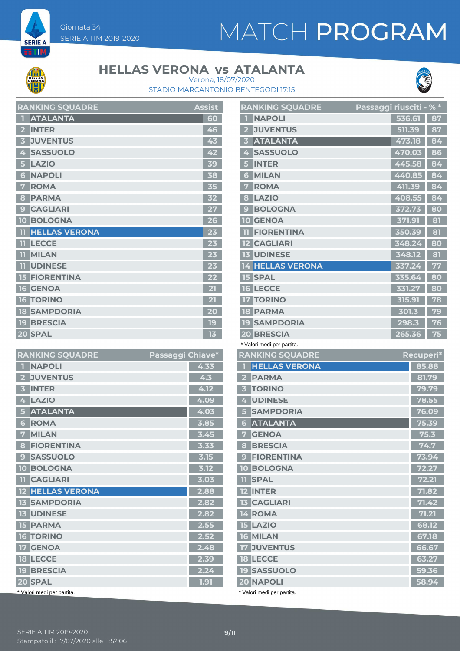# MATCH PROGRAM



**SERIE A ETM** 

### **HELLAS VERONA vs ATALANTA**





|                         | <b>RANKING SQUADRE</b> | <u>Assist</u> |
|-------------------------|------------------------|---------------|
| П                       | <b>ATALANTA</b>        | 60            |
| $\overline{2}$          | <b>INTER</b>           | 46            |
| $\overline{\mathbf{3}}$ | <b>JUVENTUS</b>        | 43            |
| 4                       | <b>SASSUOLO</b>        | 42            |
| 5                       | <b>LAZIO</b>           | 39            |
| 6                       | <b>NAPOLI</b>          | 38            |
| 7                       | <b>ROMA</b>            | 35            |
| 8                       | <b>PARMA</b>           | 32            |
| 9                       | <b>CAGLIARI</b>        | 27            |
|                         | <b>10 BOLOGNA</b>      | 26            |
| 11                      | <b>HELLAS VERONA</b>   | 23            |
| m                       | <b>LECCE</b>           | 23            |
|                         | <b>TL</b> MILAN        | 23            |
|                         | <b>TT UDINESE</b>      | 23            |
|                         | <b>15 FIORENTINA</b>   | 22            |
|                         | <b>16 GENOA</b>        | 21            |
|                         | <b>16 TORINO</b>       | 21            |
|                         | <b>18 SAMPDORIA</b>    | 20            |
|                         | <b>19 BRESCIA</b>      | 19            |
|                         | 20 SPAL                | 13            |

| <b>RANKING SQUADRE</b>          | Passaggi Chiave* |
|---------------------------------|------------------|
| <b>NAPOLI</b>                   | 4.33             |
| <b>JUVENTUS</b>                 | 4.3              |
| <b>INTER</b><br>3               | 4.12             |
| <b>LAZIO</b><br>4               | 4.09             |
| <b>ATALANTA</b>                 | 4.03             |
| <b>ROMA</b><br>6                | 3.85             |
| <b>MILAN</b><br>7               | 3.45             |
| <b>FIORENTINA</b><br>8          | 3.33             |
| <b>SASSUOLO</b><br>$\mathbf{c}$ | 3.15             |
| <b>BOLOGNA</b><br>10            | 3.12             |
| <b>TI CAGLIARI</b>              | 3.03             |
| <b>12 HELLAS VERONA</b>         | 2.88             |
| <b>13 SAMPDORIA</b>             | 2.82             |
| <b>13 UDINESE</b>               | 2.82             |
| <b>15 PARMA</b>                 | 2.55             |
| <b>16 TORINO</b>                | 2.52             |
| <b>GENOA</b><br>17 <sup>1</sup> | 2.48             |
| <b>18 LECCE</b>                 | 2.39             |
| <b>19 BRESCIA</b>               | 2.24             |
| 20 SPAL                         | 1.91             |
| * Valori medi per partita.      |                  |

|                | <b>RANKING SQUADRE</b>  | Passaggi riu <u>sciti</u> |        | $-$ % $*$ |
|----------------|-------------------------|---------------------------|--------|-----------|
|                | <b>NAPOLI</b>           |                           | 536.61 | 87        |
| $\overline{2}$ | <b>JUVENTUS</b>         |                           | 511.39 | 87        |
| 3              | <b>ATALANTA</b>         |                           | 473.18 | 84        |
| 4              | <b>SASSUOLO</b>         |                           | 470.03 | 86        |
| 5              | <b>INTER</b>            |                           | 445.58 | 84        |
| 6              | <b>MILAN</b>            |                           | 440.85 | 84        |
| 7              | <b>ROMA</b>             |                           | 411.39 | 84        |
| 8              | <b>LAZIO</b>            |                           | 408.55 | 84        |
| 9              | <b>BOLOGNA</b>          |                           | 372.73 | 80        |
| 10             | <b>GENOA</b>            |                           | 371.91 | 81        |
| 11             | <b>FIORENTINA</b>       |                           | 350.39 | 81        |
|                | <b>12 CAGLIARI</b>      |                           | 348.24 | 80        |
|                | <b>13 UDINESE</b>       |                           | 348.12 | 81        |
|                | <b>14 HELLAS VERONA</b> |                           | 337.24 | 77        |
|                | <b>15 SPAL</b>          |                           | 335.64 | 80        |
|                | <b>16 LECCE</b>         |                           | 331.27 | 80        |
|                | <b>17 TORINO</b>        |                           | 315.91 | 78        |
|                | <b>18 PARMA</b>         |                           | 301.3  | 79        |
| 19             | <b>SAMPDORIA</b>        |                           | 298.3  | 76        |
| 20             | <b>BRESCIA</b>          |                           | 265.36 | 75        |
|                |                         |                           |        |           |

| * Valori medi per partita.               |                   |
|------------------------------------------|-------------------|
| <b>RANKING SQUADRE</b>                   | Recupe <u>ri*</u> |
| <b>HELLAS VERONA</b>                     | 85.88             |
| <b>PARMA</b><br>$\overline{\mathbf{2}}$  | 81.79             |
| <b>TORINO</b><br>$\overline{\mathbf{3}}$ | 79.79             |
| <b>UDINESE</b><br>4                      | 78.55             |
| <b>SAMPDORIA</b><br>5                    | 76.09             |
| <b>ATALANTA</b><br>6                     | 75.39             |
| <b>GENOA</b><br>7                        | 75.3              |
| <b>BRESCIA</b><br>8                      | 74.7              |
| <b>FIORENTINA</b><br>$\mathbf{9}$        | 73.94             |
| <b>10 BOLOGNA</b>                        | 72.27             |
| <b>TI SPAL</b>                           | 72.21             |
| <b>12 INTER</b>                          | 71.82             |
| <b>13 CAGLIARI</b>                       | 71.42             |
| 14 ROMA                                  | 71.21             |
| <b>15 LAZIO</b>                          | 68.12             |
| 16 MILAN                                 | 67.18             |
| <b>17 JUVENTUS</b>                       | 66.67             |
| <b>18 LECCE</b>                          | 63.27             |
| <b>19 SASSUOLO</b>                       | 59.36             |
| 20 NAPOLI                                | 58.94             |
|                                          |                   |

\* Valori medi per partita.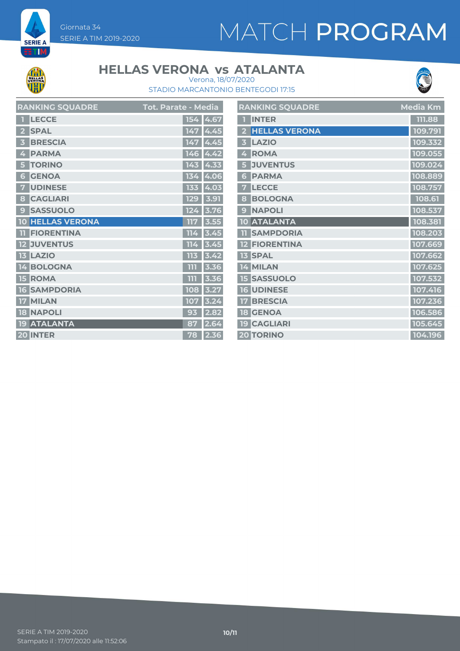# MATCH PROGRAM



**SERIE A** ET M

#### **HELLAS VERONA vs ATALANTA** Verona, 18/07/2020



STADIO MARCANTONIO BENTEGODI 17:15

| <b>RANKING SQUADRE</b>  | <b>Tot. Parate - Media</b> | <b>RANKING SQUADRE</b> | <b>Media Km</b> |
|-------------------------|----------------------------|------------------------|-----------------|
| 1 LECCE                 | 154 4.67                   | <b>1 INTER</b>         | 111.88          |
| 2 SPAL                  | $147 \, 4.45$              | 2 HELLAS VERONA        | 109.791         |
| 3 BRESCIA               | 147 4.45                   | 3 LAZIO                | 109.332         |
| 4 PARMA                 | $146$ 4.42                 | 4 ROMA                 | 109.055         |
| 5 TORINO                | $143$ 4.33                 | 5 JUVENTUS             | 109.024         |
| <b>6 GENOA</b>          | 134   4.06                 | <b>6 PARMA</b>         | 108.889         |
| <b>7 UDINESE</b>        | 133 4.03                   | 7 LECCE                | 108.757         |
| 8 CAGLIARI              | $129$ 3.91                 | 8 BOLOGNA              | 108.61          |
| <b>9 SASSUOLO</b>       | 124 3.76                   | 9 NAPOLI               | 108.537         |
| <b>10 HELLAS VERONA</b> | $117$ 3.55                 | 10 ATALANTA            | 108.381         |
| <b>TI FIORENTINA</b>    | $114$ 3.45                 | <b>11 SAMPDORIA</b>    | 108.203         |
| <b>12 JUVENTUS</b>      | $114$ 3.45                 | <b>12 FIORENTINA</b>   | 107.669         |
| <b>13 LAZIO</b>         | $113$ 3.42                 | <b>13 SPAL</b>         | 107.662         |
| 14 BOLOGNA              | $111$ 3.36                 | 14 MILAN               | 107.625         |
| <b>15 ROMA</b>          | $111$ 3.36                 | <b>15 SASSUOLO</b>     | 107.532         |
| <b>16 SAMPDORIA</b>     | 108 3.27                   | <b>16 UDINESE</b>      | 107.416         |
| 17 MILAN                | 107 3.24                   | <b>17 BRESCIA</b>      | 107.236         |
| <b>18 NAPOLI</b>        | $93$ 2.82                  | <b>18 GENOA</b>        | 106.586         |
| <b>19 ATALANTA</b>      | 87 2.64                    | 19 CAGLIARI            | 105.645         |
| 20 INTER                | 78 2.36                    | 20 TORINO              | 104.196         |